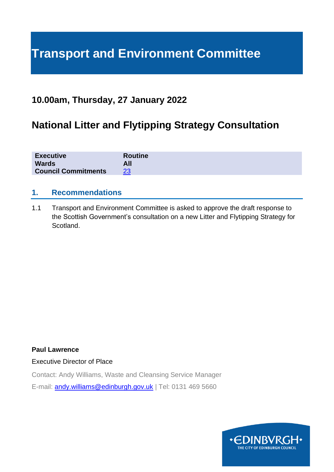# **Transport and Environment Committee**

# **10.00am, Thursday, 27 January 2022**

# **National Litter and Flytipping Strategy Consultation**

| <b>Executive</b>           | <b>Routine</b> |
|----------------------------|----------------|
| <b>Wards</b>               | All            |
| <b>Council Commitments</b> | 23             |

# **1. Recommendations**

1.1 Transport and Environment Committee is asked to approve the draft response to the Scottish Government's consultation on a new Litter and Flytipping Strategy for Scotland.

## **Paul Lawrence**

Executive Director of Place

Contact: Andy Williams, Waste and Cleansing Service Manager E-mail: [andy.williams@edinburgh.gov.uk](mailto:andy.williams@edinburgh.gov.uk) | Tel: 0131 469 5660

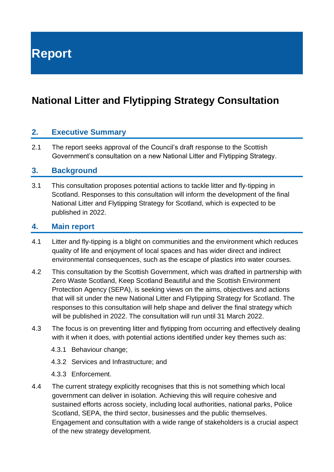**Report**

# **National Litter and Flytipping Strategy Consultation**

# **2. Executive Summary**

2.1 The report seeks approval of the Council's draft response to the Scottish Government's consultation on a new National Litter and Flytipping Strategy.

# **3. Background**

3.1 This consultation proposes potential actions to tackle litter and fly-tipping in Scotland. Responses to this consultation will inform the development of the final National Litter and Flytipping Strategy for Scotland, which is expected to be published in 2022.

# **4. Main report**

- 4.1 Litter and fly-tipping is a blight on communities and the environment which reduces quality of life and enjoyment of local spaces and has wider direct and indirect environmental consequences, such as the escape of plastics into water courses.
- 4.2 This consultation by the Scottish Government, which was drafted in partnership with Zero Waste Scotland, Keep Scotland Beautiful and the Scottish Environment Protection Agency (SEPA), is seeking views on the aims, objectives and actions that will sit under the new National Litter and Flytipping Strategy for Scotland. The responses to this consultation will help shape and deliver the final strategy which will be published in 2022. The consultation will run until 31 March 2022.
- 4.3 The focus is on preventing litter and flytipping from occurring and effectively dealing with it when it does, with potential actions identified under key themes such as:
	- 4.3.1 Behaviour change;
	- 4.3.2 Services and Infrastructure; and
	- 4.3.3 Enforcement.
- 4.4 The current strategy explicitly recognises that this is not something which local government can deliver in isolation. Achieving this will require cohesive and sustained efforts across society, including local authorities, national parks, Police Scotland, SEPA, the third sector, businesses and the public themselves. Engagement and consultation with a wide range of stakeholders is a crucial aspect of the new strategy development.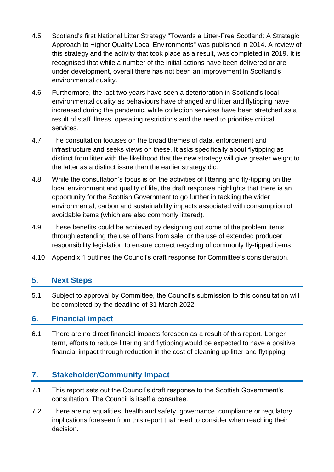- 4.5 Scotland's first National Litter Strategy "Towards a Litter-Free Scotland: A Strategic Approach to Higher Quality Local Environments" was published in 2014. A review of this strategy and the activity that took place as a result, was completed in 2019. It is recognised that while a number of the initial actions have been delivered or are under development, overall there has not been an improvement in Scotland's environmental quality.
- 4.6 Furthermore, the last two years have seen a deterioration in Scotland's local environmental quality as behaviours have changed and litter and flytipping have increased during the pandemic, while collection services have been stretched as a result of staff illness, operating restrictions and the need to prioritise critical services.
- 4.7 The consultation focuses on the broad themes of data, enforcement and infrastructure and seeks views on these. It asks specifically about flytipping as distinct from litter with the likelihood that the new strategy will give greater weight to the latter as a distinct issue than the earlier strategy did.
- 4.8 While the consultation's focus is on the activities of littering and fly-tipping on the local environment and quality of life, the draft response highlights that there is an opportunity for the Scottish Government to go further in tackling the wider environmental, carbon and sustainability impacts associated with consumption of avoidable items (which are also commonly littered).
- 4.9 These benefits could be achieved by designing out some of the problem items through extending the use of bans from sale, or the use of extended producer responsibility legislation to ensure correct recycling of commonly fly-tipped items
- 4.10 Appendix 1 outlines the Council's draft response for Committee's consideration.

# **5. Next Steps**

5.1 Subject to approval by Committee, the Council's submission to this consultation will be completed by the deadline of 31 March 2022.

# **6. Financial impact**

6.1 There are no direct financial impacts foreseen as a result of this report. Longer term, efforts to reduce littering and flytipping would be expected to have a positive financial impact through reduction in the cost of cleaning up litter and flytipping.

# **7. Stakeholder/Community Impact**

- 7.1 This report sets out the Council's draft response to the Scottish Government's consultation. The Council is itself a consultee.
- 7.2 There are no equalities, health and safety, governance, compliance or regulatory implications foreseen from this report that need to consider when reaching their decision.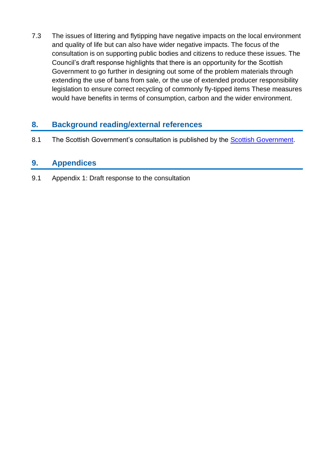7.3 The issues of littering and flytipping have negative impacts on the local environment and quality of life but can also have wider negative impacts. The focus of the consultation is on supporting public bodies and citizens to reduce these issues. The Council's draft response highlights that there is an opportunity for the Scottish Government to go further in designing out some of the problem materials through extending the use of bans from sale, or the use of extended producer responsibility legislation to ensure correct recycling of commonly fly-tipped items These measures would have benefits in terms of consumption, carbon and the wider environment.

# **8. Background reading/external references**

8.1 The Scottish Government's consultation is published by the [Scottish Government.](https://www.gov.scot/publications/national-litter-flytipping-consultation/)

# **9. Appendices**

9.1 Appendix 1: Draft response to the consultation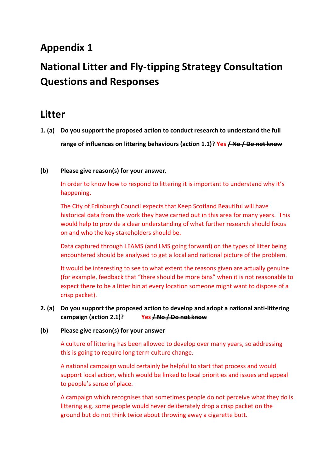# **Appendix 1**

# **National Litter and Fly-tipping Strategy Consultation Questions and Responses**

# **Litter**

**1. (a) Do you support the proposed action to conduct research to understand the full range of influences on littering behaviours (action 1.1)? Yes / No / Do not know**

### **(b) Please give reason(s) for your answer.**

In order to know how to respond to littering it is important to understand why it's happening.

The City of Edinburgh Council expects that Keep Scotland Beautiful will have historical data from the work they have carried out in this area for many years. This would help to provide a clear understanding of what further research should focus on and who the key stakeholders should be.

Data captured through LEAMS (and LMS going forward) on the types of litter being encountered should be analysed to get a local and national picture of the problem.

It would be interesting to see to what extent the reasons given are actually genuine (for example, feedback that "there should be more bins" when it is not reasonable to expect there to be a litter bin at every location someone might want to dispose of a crisp packet).

### **2. (a) Do you support the proposed action to develop and adopt a national anti-littering campaign (action 2.1)? Yes / No / Do not know**

#### **(b) Please give reason(s) for your answer**

A culture of littering has been allowed to develop over many years, so addressing this is going to require long term culture change.

A national campaign would certainly be helpful to start that process and would support local action, which would be linked to local priorities and issues and appeal to people's sense of place.

A campaign which recognises that sometimes people do not perceive what they do is littering e.g. some people would never deliberately drop a crisp packet on the ground but do not think twice about throwing away a cigarette butt.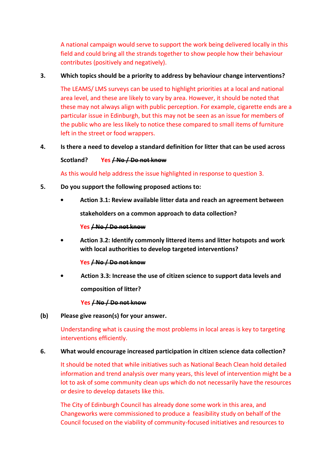A national campaign would serve to support the work being delivered locally in this field and could bring all the strands together to show people how their behaviour contributes (positively and negatively).

#### **3. Which topics should be a priority to address by behaviour change interventions?**

The LEAMS/ LMS surveys can be used to highlight priorities at a local and national area level, and these are likely to vary by area. However, it should be noted that these may not always align with public perception. For example, cigarette ends are a particular issue in Edinburgh, but this may not be seen as an issue for members of the public who are less likely to notice these compared to small items of furniture left in the street or food wrappers.

### **4. Is there a need to develop a standard definition for litter that can be used across**

#### **Scotland? Yes / No / Do not know**

As this would help address the issue highlighted in response to question 3.

- **5. Do you support the following proposed actions to:** 
	- **Action 3.1: Review available litter data and reach an agreement between**

**stakeholders on a common approach to data collection?** 

#### **Yes / No / Do not know**

**• Action 3.2: Identify commonly littered items and litter hotspots and work with local authorities to develop targeted interventions?** 

#### **Yes / No / Do not know**

**• Action 3.3: Increase the use of citizen science to support data levels and composition of litter?** 

#### **Yes / No / Do not know**

#### **(b) Please give reason(s) for your answer.**

Understanding what is causing the most problems in local areas is key to targeting interventions efficiently.

#### **6. What would encourage increased participation in citizen science data collection?**

It should be noted that while initiatives such as National Beach Clean hold detailed information and trend analysis over many years, this level of intervention might be a lot to ask of some community clean ups which do not necessarily have the resources or desire to develop datasets like this.

The City of Edinburgh Council has already done some work in this area, and Changeworks were commissioned to produce a feasibility study on behalf of the Council focused on the viability of community-focused initiatives and resources to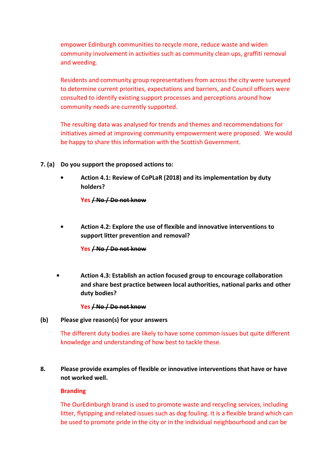empower Edinburgh communities to recycle more, reduce waste and widen community involvement in activities such as community clean ups, graffiti removal and weeding.

Residents and community group representatives from across the city were surveyed to determine current priorities, expectations and barriers, and Council officers were consulted to identify existing support processes and perceptions around how community needs are currently supported.

The resulting data was analysed for trends and themes and recommendations for initiatives aimed at improving community empowerment were proposed. We would be happy to share this information with the Scottish Government.

#### **7. (a) Do you support the proposed actions to:**

**• Action 4.1: Review of CoPLaR (2018) and its implementation by duty holders?** 

**Yes / No / Do not know**

**• Action 4.2: Explore the use of flexible and innovative interventions to support litter prevention and removal?** 

**Yes / No / Do not know**

**• Action 4.3: Establish an action focused group to encourage collaboration and share best practice between local authorities, national parks and other duty bodies?** 

#### **Yes / No / Do not know**

**(b) Please give reason(s) for your answers**

The different duty bodies are likely to have some common issues but quite different knowledge and understanding of how best to tackle these.

### **8. Please provide examples of flexible or innovative interventions that have or have not worked well.**

#### **Branding**

The OurEdinburgh brand is used to promote waste and recycling services, including litter, flytipping and related issues such as dog fouling. It is a flexible brand which can be used to promote pride in the city or in the individual neighbourhood and can be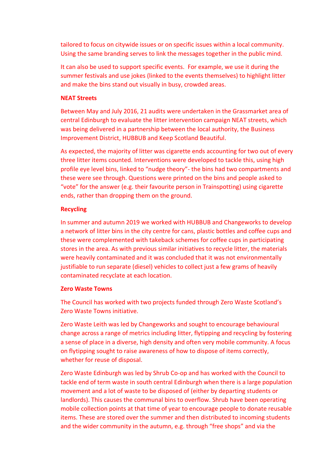tailored to focus on citywide issues or on specific issues within a local community. Using the same branding serves to link the messages together in the public mind.

It can also be used to support specific events. For example, we use it during the summer festivals and use jokes (linked to the events themselves) to highlight litter and make the bins stand out visually in busy, crowded areas.

#### **NEAT Streets**

Between May and July 2016, 21 audits were undertaken in the Grassmarket area of central Edinburgh to evaluate the litter intervention campaign NEAT streets, which was being delivered in a partnership between the local authority, the Business Improvement District, HUBBUB and Keep Scotland Beautiful.

As expected, the majority of litter was cigarette ends accounting for two out of every three litter items counted. Interventions were developed to tackle this, using high profile eye level bins, linked to "nudge theory"- the bins had two compartments and these were see through. Questions were printed on the bins and people asked to "vote" for the answer (e.g. their favourite person in Trainspotting) using cigarette ends, rather than dropping them on the ground.

#### **Recycling**

In summer and autumn 2019 we worked with HUBBUB and Changeworks to develop a network of litter bins in the city centre for cans, plastic bottles and coffee cups and these were complemented with takeback schemes for coffee cups in participating stores in the area. As with previous similar initiatives to recycle litter, the materials were heavily contaminated and it was concluded that it was not environmentally justifiable to run separate (diesel) vehicles to collect just a few grams of heavily contaminated recyclate at each location.

#### **Zero Waste Towns**

The Council has worked with two projects funded through Zero Waste Scotland's Zero Waste Towns initiative.

Zero Waste Leith was led by Changeworks and sought to encourage behavioural change across a range of metrics including litter, flytipping and recycling by fostering a sense of place in a diverse, high density and often very mobile community. A focus on flytipping sought to raise awareness of how to dispose of items correctly, whether for reuse of disposal.

Zero Waste Edinburgh was led by Shrub Co-op and has worked with the Council to tackle end of term waste in south central Edinburgh when there is a large population movement and a lot of waste to be disposed of (either by departing students or landlords). This causes the communal bins to overflow. Shrub have been operating mobile collection points at that time of year to encourage people to donate reusable items. These are stored over the summer and then distributed to incoming students and the wider community in the autumn, e.g. through "free shops" and via the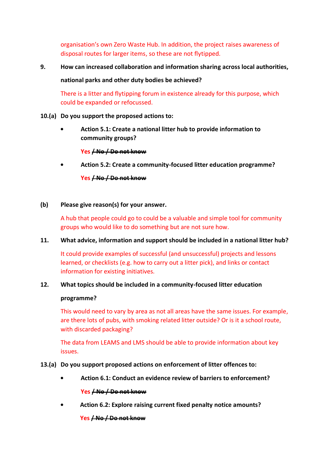organisation's own Zero Waste Hub. In addition, the project raises awareness of disposal routes for larger items, so these are not flytipped.

**9. How can increased collaboration and information sharing across local authorities,** 

#### **national parks and other duty bodies be achieved?**

There is a litter and flytipping forum in existence already for this purpose, which could be expanded or refocussed.

#### **10.(a) Do you support the proposed actions to:**

**• Action 5.1: Create a national litter hub to provide information to community groups?** 

**Yes / No / Do not know**

**• Action 5.2: Create a community-focused litter education programme?** 

#### **Yes / No / Do not know**

#### **(b) Please give reason(s) for your answer.**

A hub that people could go to could be a valuable and simple tool for community groups who would like to do something but are not sure how.

#### **11. What advice, information and support should be included in a national litter hub?**

It could provide examples of successful (and unsuccessful) projects and lessons learned, or checklists (e.g. how to carry out a litter pick), and links or contact information for existing initiatives.

#### **12. What topics should be included in a community-focused litter education**

#### **programme?**

This would need to vary by area as not all areas have the same issues. For example, are there lots of pubs, with smoking related litter outside? Or is it a school route, with discarded packaging?

The data from LEAMS and LMS should be able to provide information about key issues.

#### **13.(a) Do you support proposed actions on enforcement of litter offences to:**

**• Action 6.1: Conduct an evidence review of barriers to enforcement?**

#### **Yes / No / Do not know**

**• Action 6.2: Explore raising current fixed penalty notice amounts?** 

**Yes / No / Do not know**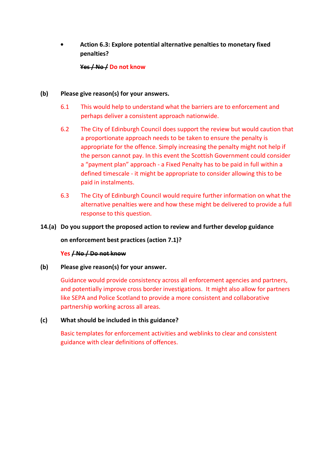**• Action 6.3: Explore potential alternative penalties to monetary fixed penalties?** 

#### **Yes / No / Do not know**

#### **(b) Please give reason(s) for your answers.**

- 6.1 This would help to understand what the barriers are to enforcement and perhaps deliver a consistent approach nationwide.
- 6.2 The City of Edinburgh Council does support the review but would caution that a proportionate approach needs to be taken to ensure the penalty is appropriate for the offence. Simply increasing the penalty might not help if the person cannot pay. In this event the Scottish Government could consider a "payment plan" approach - a Fixed Penalty has to be paid in full within a defined timescale - it might be appropriate to consider allowing this to be paid in instalments.
- 6.3 The City of Edinburgh Council would require further information on what the alternative penalties were and how these might be delivered to provide a full response to this question.

#### **14.(a) Do you support the proposed action to review and further develop guidance**

**on enforcement best practices (action 7.1)?** 

#### **Yes / No / Do not know**

**(b) Please give reason(s) for your answer.** 

Guidance would provide consistency across all enforcement agencies and partners, and potentially improve cross border investigations. It might also allow for partners like SEPA and Police Scotland to provide a more consistent and collaborative partnership working across all areas.

#### **(c) What should be included in this guidance?**

Basic templates for enforcement activities and weblinks to clear and consistent guidance with clear definitions of offences.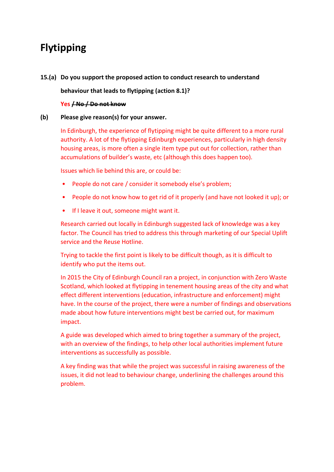# **Flytipping**

#### **15.(a) Do you support the proposed action to conduct research to understand**

**behaviour that leads to flytipping (action 8.1)?** 

#### **Yes / No / Do not know**

#### **(b) Please give reason(s) for your answer.**

In Edinburgh, the experience of flytipping might be quite different to a more rural authority. A lot of the flytipping Edinburgh experiences, particularly in high density housing areas, is more often a single item type put out for collection, rather than accumulations of builder's waste, etc (although this does happen too).

Issues which lie behind this are, or could be:

- People do not care / consider it somebody else's problem;
- People do not know how to get rid of it properly (and have not looked it up); or
- If I leave it out, someone might want it.

Research carried out locally in Edinburgh suggested lack of knowledge was a key factor. The Council has tried to address this through marketing of our Special Uplift service and the Reuse Hotline.

Trying to tackle the first point is likely to be difficult though, as it is difficult to identify who put the items out.

In 2015 the City of Edinburgh Council ran a project, in conjunction with Zero Waste Scotland, which looked at flytipping in tenement housing areas of the city and what effect different interventions (education, infrastructure and enforcement) might have. In the course of the project, there were a number of findings and observations made about how future interventions might best be carried out, for maximum impact.

A guide was developed which aimed to bring together a summary of the project, with an overview of the findings, to help other local authorities implement future interventions as successfully as possible.

A key finding was that while the project was successful in raising awareness of the issues, it did not lead to behaviour change, underlining the challenges around this problem.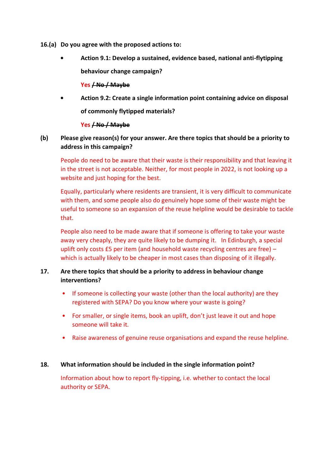- **16.(a) Do you agree with the proposed actions to:** 
	- **Action 9.1: Develop a sustained, evidence based, national anti-flytipping behaviour change campaign?**

**Yes / No / Maybe**

**• Action 9.2: Create a single information point containing advice on disposal of commonly flytipped materials?** 

#### **Yes / No / Maybe**

### **(b) Please give reason(s) for your answer. Are there topics that should be a priority to address in this campaign?**

People do need to be aware that their waste is their responsibility and that leaving it in the street is not acceptable. Neither, for most people in 2022, is not looking up a website and just hoping for the best.

Equally, particularly where residents are transient, it is very difficult to communicate with them, and some people also do genuinely hope some of their waste might be useful to someone so an expansion of the reuse helpline would be desirable to tackle that.

People also need to be made aware that if someone is offering to take your waste away very cheaply, they are quite likely to be dumping it. In Edinburgh, a special uplift only costs £5 per item (and household waste recycling centres are free) – which is actually likely to be cheaper in most cases than disposing of it illegally.

### **17. Are there topics that should be a priority to address in behaviour change interventions?**

- If someone is collecting your waste (other than the local authority) are they registered with SEPA? Do you know where your waste is going?
- For smaller, or single items, book an uplift, don't just leave it out and hope someone will take it.
- Raise awareness of genuine reuse organisations and expand the reuse helpline.

#### **18. What information should be included in the single information point?**

Information about how to report fly-tipping, i.e. whether to contact the local authority or SEPA.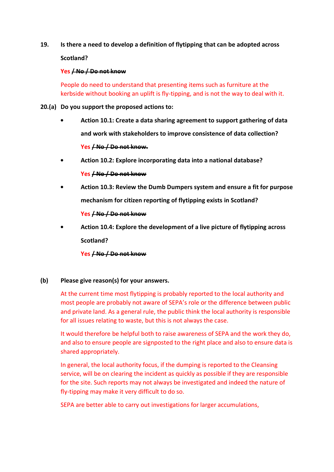**19. Is there a need to develop a definition of flytipping that can be adopted across** 

**Scotland?** 

#### **Yes / No / Do not know**

People do need to understand that presenting items such as furniture at the kerbside without booking an uplift is fly-tipping, and is not the way to deal with it.

#### **20.(a) Do you support the proposed actions to:**

**• Action 10.1: Create a data sharing agreement to support gathering of data and work with stakeholders to improve consistence of data collection?** 

#### **Yes / No / Do not know.**

**• Action 10.2: Explore incorporating data into a national database?** 

#### **Yes / No / Do not know**

**• Action 10.3: Review the Dumb Dumpers system and ensure a fit for purpose mechanism for citizen reporting of flytipping exists in Scotland?** 

#### **Yes / No / Do not know**

**• Action 10.4: Explore the development of a live picture of flytipping across Scotland?** 

**Yes / No / Do not know**

#### **(b) Please give reason(s) for your answers.**

At the current time most flytipping is probably reported to the local authority and most people are probably not aware of SEPA's role or the difference between public and private land. As a general rule, the public think the local authority is responsible for all issues relating to waste, but this is not always the case.

It would therefore be helpful both to raise awareness of SEPA and the work they do, and also to ensure people are signposted to the right place and also to ensure data is shared appropriately.

In general, the local authority focus, if the dumping is reported to the Cleansing service, will be on clearing the incident as quickly as possible if they are responsible for the site. Such reports may not always be investigated and indeed the nature of fly-tipping may make it very difficult to do so.

SEPA are better able to carry out investigations for larger accumulations,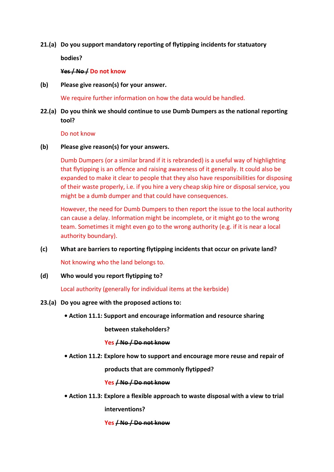#### **21.(a) Do you support mandatory reporting of flytipping incidents for statuatory**

**bodies?** 

#### **Yes / No / Do not know**

**(b) Please give reason(s) for your answer.** 

We require further information on how the data would be handled.

**22.(a) Do you think we should continue to use Dumb Dumpers as the national reporting tool?**

Do not know

**(b) Please give reason(s) for your answers.** 

Dumb Dumpers (or a similar brand if it is rebranded) is a useful way of highlighting that flytipping is an offence and raising awareness of it generally. It could also be expanded to make it clear to people that they also have responsibilities for disposing of their waste properly, i.e. if you hire a very cheap skip hire or disposal service, you might be a dumb dumper and that could have consequences.

However, the need for Dumb Dumpers to then report the issue to the local authority can cause a delay. Information might be incomplete, or it might go to the wrong team. Sometimes it might even go to the wrong authority (e.g. if it is near a local authority boundary).

#### **(c) What are barriers to reporting flytipping incidents that occur on private land?**

Not knowing who the land belongs to.

**(d) Who would you report flytipping to?**

Local authority (generally for individual items at the kerbside)

#### **23.(a) Do you agree with the proposed actions to:**

**• Action 11.1: Support and encourage information and resource sharing** 

**between stakeholders?** 

#### **Yes / No / Do not know**

**• Action 11.2: Explore how to support and encourage more reuse and repair of** 

**products that are commonly flytipped?** 

#### **Yes / No / Do not know**

**• Action 11.3: Explore a flexible approach to waste disposal with a view to trial** 

**interventions?** 

**Yes / No / Do not know**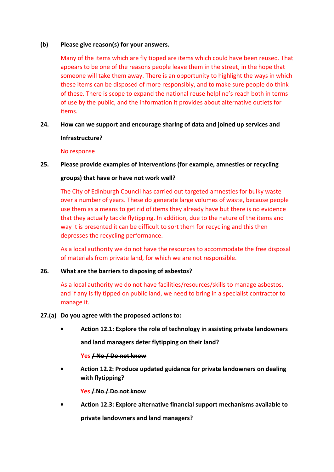#### **(b) Please give reason(s) for your answers.**

Many of the items which are fly tipped are items which could have been reused. That appears to be one of the reasons people leave them in the street, in the hope that someone will take them away. There is an opportunity to highlight the ways in which these items can be disposed of more responsibly, and to make sure people do think of these. There is scope to expand the national reuse helpline's reach both in terms of use by the public, and the information it provides about alternative outlets for items.

**24. How can we support and encourage sharing of data and joined up services and** 

#### **Infrastructure?**

#### No response

#### **25. Please provide examples of interventions (for example, amnesties or recycling**

#### **groups) that have or have not work well?**

The City of Edinburgh Council has carried out targeted amnesties for bulky waste over a number of years. These do generate large volumes of waste, because people use them as a means to get rid of items they already have but there is no evidence that they actually tackle flytipping. In addition, due to the nature of the items and way it is presented it can be difficult to sort them for recycling and this then depresses the recycling performance.

As a local authority we do not have the resources to accommodate the free disposal of materials from private land, for which we are not responsible.

#### **26. What are the barriers to disposing of asbestos?**

As a local authority we do not have facilities/resources/skills to manage asbestos, and if any is fly tipped on public land, we need to bring in a specialist contractor to manage it.

- **27.(a) Do you agree with the proposed actions to:** 
	- **Action 12.1: Explore the role of technology in assisting private landowners**

**and land managers deter flytipping on their land?** 

#### **Yes / No / Do not know**

**• Action 12.2: Produce updated guidance for private landowners on dealing with flytipping?** 

#### **Yes / No / Do not know**

**• Action 12.3: Explore alternative financial support mechanisms available to private landowners and land managers?**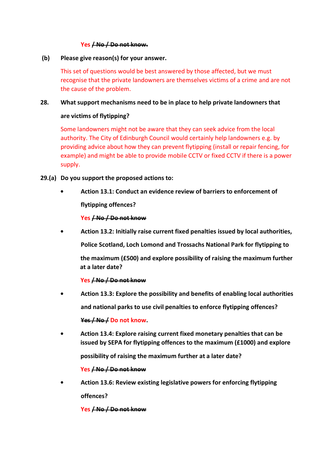#### **Yes / No / Do not know.**

## **(b) Please give reason(s) for your answer.**

This set of questions would be best answered by those affected, but we must recognise that the private landowners are themselves victims of a crime and are not the cause of the problem.

## **28. What support mechanisms need to be in place to help private landowners that**

# **are victims of flytipping?**

Some landowners might not be aware that they can seek advice from the local authority. The City of Edinburgh Council would certainly help landowners e.g. by providing advice about how they can prevent flytipping (install or repair fencing, for example) and might be able to provide mobile CCTV or fixed CCTV if there is a power supply.

# **29.(a) Do you support the proposed actions to:**

**• Action 13.1: Conduct an evidence review of barriers to enforcement of** 

**flytipping offences?** 

# **Yes / No / Do not know**

**• Action 13.2: Initially raise current fixed penalties issued by local authorities,** 

**Police Scotland, Loch Lomond and Trossachs National Park for flytipping to** 

**the maximum (£500) and explore possibility of raising the maximum further at a later date?** 

# **Yes / No / Do not know**

- **Action 13.3: Explore the possibility and benefits of enabling local authorities and national parks to use civil penalties to enforce flytipping offences? Yes / No / Do not know.**
- **Action 13.4: Explore raising current fixed monetary penalties that can be issued by SEPA for flytipping offences to the maximum (£1000) and explore**

**possibility of raising the maximum further at a later date?** 

# **Yes / No / Do not know**

**• Action 13.6: Review existing legislative powers for enforcing flytipping offences?** 

**Yes / No / Do not know**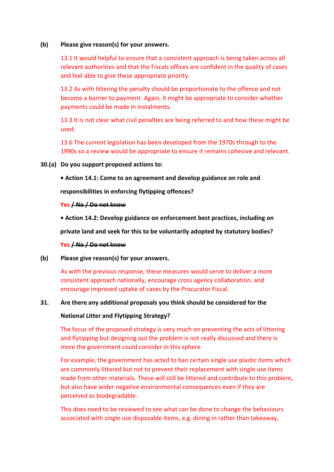#### **(b) Please give reason(s) for your answers.**

13.1 It would helpful to ensure that a consistent approach is being taken across all relevant authorities and that the Fiscals offices are confident in the quality of cases and feel able to give these appropriate priority.

13.2 As with littering the penalty should be proportionate to the offence and not become a barrier to payment. Again, it might be appropriate to consider whether payments could be made in instalments.

13.3 It is not clear what civil penalties are being referred to and how these might be used.

13.6 The current legislation has been developed from the 1970s through to the 1990s so a review would be appropriate to ensure it remains cohesive and relevant.

#### **30.(a) Do you support proposed actions to:**

**• Action 14.1: Come to an agreement and develop guidance on role and** 

**responsibilities in enforcing flytipping offences?** 

#### **Yes / No / Do not know**

**• Action 14.2: Develop guidance on enforcement best practices, including on** 

**private land and seek for this to be voluntarily adopted by statutory bodies?** 

#### **Yes / No / Do not know**

**(b) Please give reason(s) for your answers.** 

As with the previous response, these measures would serve to deliver a more consistent approach nationally, encourage cross agency collaboration, and encourage improved uptake of cases by the Procurator Fiscal.

#### **31. Are there any additional proposals you think should be considered for the**

#### **National Litter and Flytipping Strategy?**

The focus of the proposed strategy is very much on preventing the acts of littering and flytipping but designing out the problem is not really discussed and there is more the government could consider in this sphere.

For example, the government has acted to ban certain single use plastic items which are commonly littered but not to prevent their replacement with single use items made from other materials. These will still be littered and contribute to this problem, but also have wider negative environmental consequences even if they are perceived as biodegradable.

This does need to be reviewed to see what can be done to change the behaviours associated with single use disposable items, e.g. dining in rather than takeaway,